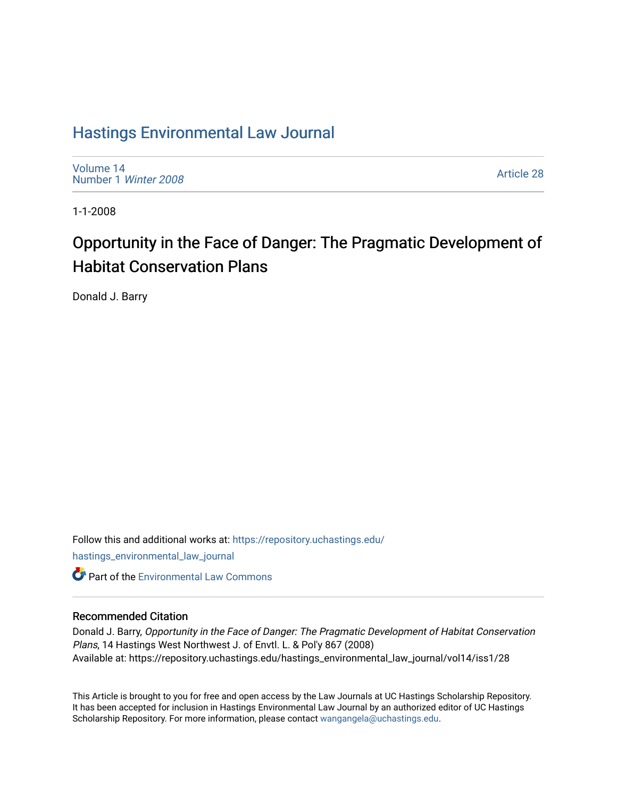## [Hastings Environmental Law Journal](https://repository.uchastings.edu/hastings_environmental_law_journal)

[Volume 14](https://repository.uchastings.edu/hastings_environmental_law_journal/vol14) [Number 1](https://repository.uchastings.edu/hastings_environmental_law_journal/vol14/iss1) Winter 2008

[Article 28](https://repository.uchastings.edu/hastings_environmental_law_journal/vol14/iss1/28) 

1-1-2008

# Opportunity in the Face of Danger: The Pragmatic Development of Habitat Conservation Plans

Donald J. Barry

Follow this and additional works at: [https://repository.uchastings.edu/](https://repository.uchastings.edu/hastings_environmental_law_journal?utm_source=repository.uchastings.edu%2Fhastings_environmental_law_journal%2Fvol14%2Fiss1%2F28&utm_medium=PDF&utm_campaign=PDFCoverPages) [hastings\\_environmental\\_law\\_journal](https://repository.uchastings.edu/hastings_environmental_law_journal?utm_source=repository.uchastings.edu%2Fhastings_environmental_law_journal%2Fvol14%2Fiss1%2F28&utm_medium=PDF&utm_campaign=PDFCoverPages)  **C** Part of the [Environmental Law Commons](http://network.bepress.com/hgg/discipline/599?utm_source=repository.uchastings.edu%2Fhastings_environmental_law_journal%2Fvol14%2Fiss1%2F28&utm_medium=PDF&utm_campaign=PDFCoverPages)

### Recommended Citation

Donald J. Barry, Opportunity in the Face of Danger: The Pragmatic Development of Habitat Conservation Plans, 14 Hastings West Northwest J. of Envtl. L. & Pol'y 867 (2008) Available at: https://repository.uchastings.edu/hastings\_environmental\_law\_journal/vol14/iss1/28

This Article is brought to you for free and open access by the Law Journals at UC Hastings Scholarship Repository. It has been accepted for inclusion in Hastings Environmental Law Journal by an authorized editor of UC Hastings Scholarship Repository. For more information, please contact [wangangela@uchastings.edu.](mailto:wangangela@uchastings.edu)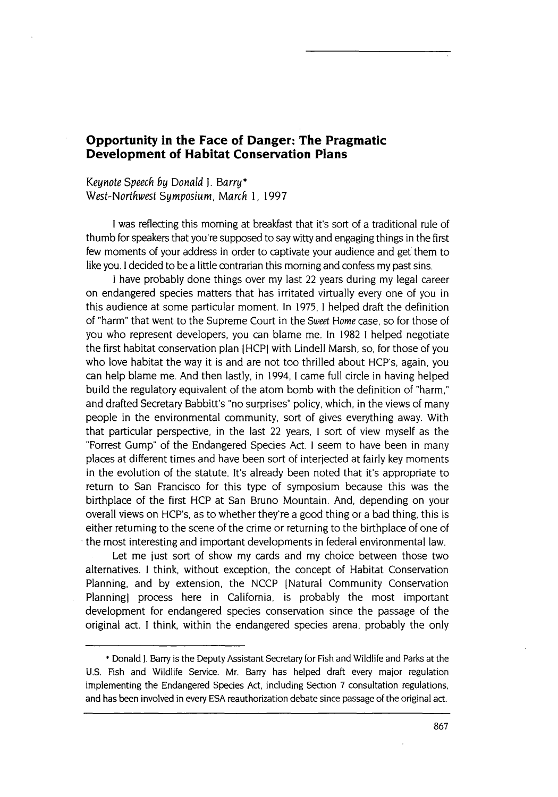### **Opportunity in the Face of Danger: The Pragmatic Development of Habitat Conservation Plans**

*Keynote Speech by Donald J.* Barry\* *West-Northwest Symposium, March* 1, 1997

I was reflecting this morning at breakfast that it's sort of a traditional rule of thumb for speakers that you're supposed to say witty and engaging things in the first few moments of your address in order to captivate your audience and get them to like you. I decided to be a little contrarian this morning and confess my past sins.

I have probably done things over my last 22 years during my legal career on endangered species matters that has irritated virtually every one of you in this audience at some particular moment. In 1975, I helped draft the definition of "harm" that went to the Supreme Court in the *Sweet Home* case, so for those of you who represent developers, you can blame me. In 1982 **1** helped negotiate the first habitat conservation plan IHCP] with Lindell Marsh, so, for those of you who love habitat the way it is and are not too thrilled about HCP's, again, you can help blame me. And then lastly, in 1994, **1** came full circle in having helped build the regulatory equivalent of the atom bomb with the definition of "harm," and drafted Secretary Babbitt's "no surprises" policy, which, in the views of many people in the environmental community, sort of gives everything away. With that particular perspective, in the last 22 years, **I** sort of view myself as the "Forrest Gump" of the Endangered Species Act. **I** seem to have been in many places at different times and have been sort of interjected at fairly key moments in the evolution of the statute. It's already been noted that it's appropriate to return to San Francisco for this type of symposium because this was the birthplace of the first HCP at San Bruno Mountain. And, depending on your overall views on HCP's, as to whether they're a good thing or a bad thing, this is either returning to the scene of the crime or returning to the birthplace of one of the most interesting and important developments in federal environmental law.

Let me just sort of show my cards and my choice between those two alternatives. **I** think, without exception, the concept of Habitat Conservation Planning, and by extension, the NCCP [Natural Community Conservation Planningl process here in California, is probably the most important development for endangered species conservation since the passage of the original act. I think, within the endangered species arena, probably the only

<sup>\*</sup> Donald **J.** Barry is the Deputy Assistant Secretary for Fish and Wildlife and Parks at the U.S. Fish and Wildlife Service. Mr. Barry has helped draft every major regulation implementing the Endangered Species Act, including Section 7 consultation regulations, and has been involved in every ESA reauthorization debate since passage of the original act.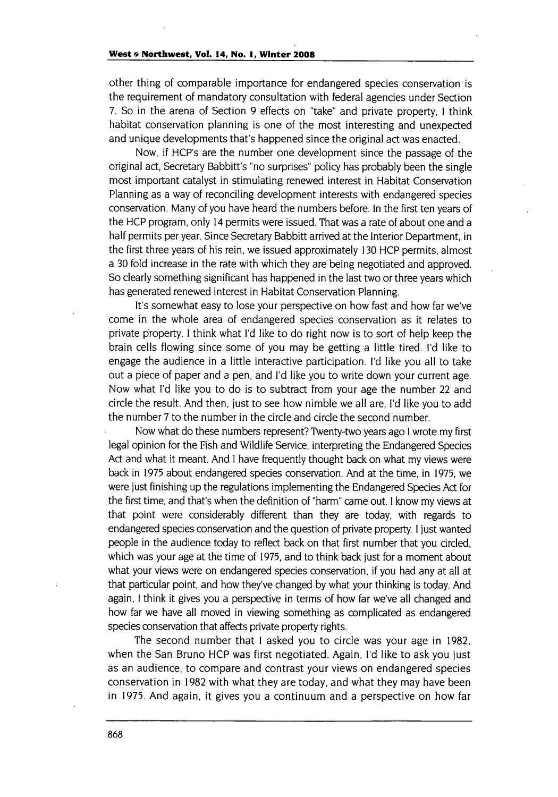#### **West & Northwest, Vol. 14, No. 1, Winter 2008**

other thing of comparable importance for endangered species conservation is the requirement of mandatory consultation with federal agencies under Section 7. So in the arena of Section 9 effects on "take" and private property, **I** think habitat conservation planning is one of the most interesting and unexpected and unique developments that's happened since the original act was enacted.

Now, if HCP's are the number one development since the passage of the original act, Secretary Babbitt's "no surprises" policy has probably been the single most important catalyst in stimulating renewed interest in Habitat Conservation Planning as a way of reconciling development interests with endangered species conservation. Many of you have heard the numbers before. In the first ten years of the HCP program, only 14 permits were issued. That was a rate of about one and a half permits per year. Since Secretary Babbitt arrived at the Interior Department, in the first three years of his rein, we issued approximately **130** HCP permits, almost a **30** fold increase in the rate with which they are being negotiated and approved. So clearly something significant has happened in the last two or three years which has generated renewed interest in Habitat Conservation Planning.

It's somewhat easy to lose your perspective on how fast and how far we've come in the whole area of endangered species conservation as it relates to private property. I think what I'd like to do right now is to sort of help keep the brain cells flowing since some of you may be getting a little tired. I'd like to engage the audience in a little interactive participation. I'd like you all to take out a piece of paper and a pen, and I'd like you to write down your current age. Now what I'd like you to do is to subtract from your age the number 22 and circle the result. And then, just to see how nimble we all are, I'd like you to add the number 7 to the number in the circle and circle the second number.

Now what do these numbers represent? Twenty-two years ago I wrote my first legal opinion for the Fish and Wildlife Service, interpreting the Endangered Species Act and what it meant. And I have frequently thought back on what my views were back in 1975 about endangered species conservation. And at the time, in 1975, we were just finishing up the regulations implementing the Endangered Species Act for the first time, and that's when the definition of "harm" came out. I know my views at that point were considerably different than they are today, with regards to endangered species conservation and the question of private property. I just wanted people in the audience today to reflect back on that first number that you circled, which was your age at the time of 1975, and to think back just for a moment about what your views were on endangered species conservation, if you had any at all at that particular point, and how they've changed by what your thinking is today. And again, I think it gives you a perspective in terms of how far we've all changed and how far we have all moved in viewing something as complicated as endangered species conservation that affects private property rights.

The second number that **I** asked you to circle was your age in 1982, when the San Bruno HCP was first negotiated. Again, **I'd** like to ask you just as an audience, to compare and contrast your views on endangered species conservation in 1982 with what they are today, and what they may have been in 1975. And again, it gives you a continuum and a perspective on how far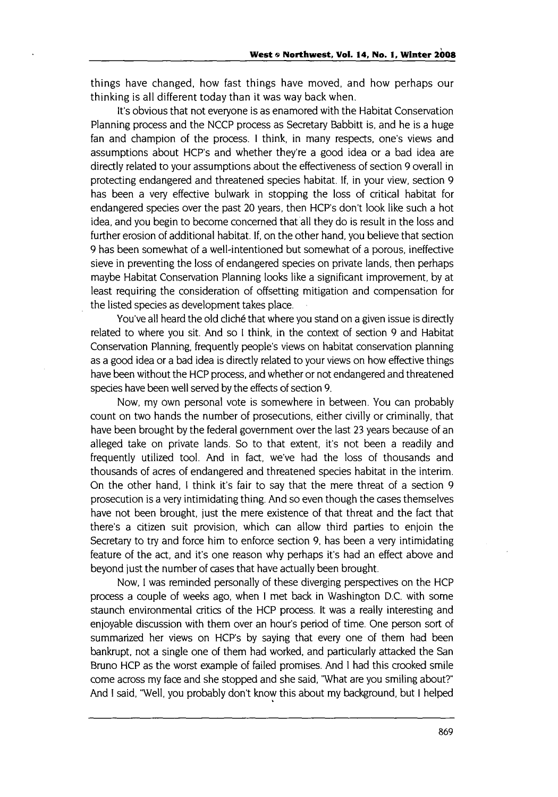things have changed, how fast things have moved, and how perhaps our thinking is all different today than it was way back when.

It's obvious that not everyone is as enamored with the Habitat Conservation Planning process and the NCCP process as Secretary Babbitt is, and he is a huge fan and champion of the process. **I** think, in many respects, one's views and assumptions about HCP's and whether they're a good idea or a bad idea are directly related to your assumptions about the effectiveness of section 9 overall in protecting endangered and threatened species habitat. If, in your view, section 9 has been a very effective bulwark in stopping the loss of critical habitat for endangered species over the past 20 years, then HCP's don't look like such a hot idea, and you begin to become concerned that all they do is result in the loss and further erosion of additional habitat. If, on the other hand, you believe that section 9 has been somewhat of a well-intentioned but somewhat of a porous, ineffective sieve in preventing the loss of endangered species on private lands, then perhaps maybe Habitat Conservation Planning looks like a significant improvement, by at least requiring the consideration of offsetting mitigation and compensation for the listed species as development takes place.

You've all heard the old cliché that where you stand on a given issue is directly related to where you sit. And so I think, in the context of section 9 and Habitat Conservation Planning, frequently people's views on habitat conservation planning as a good idea or a bad idea is directly related to your views on how effective things have been without the HCP process, and whether or not endangered and threatened species have been well served by the effects of section 9.

Now, my own personal vote is somewhere in between. You can probably count on two hands the number of prosecutions, either civilly or criminally, that have been brought by the federal government over the last 23 years because of an alleged take on private lands. So to that extent, it's not been a readily and frequently utilized tool. And in fact, we've had the loss of thousands and thousands of acres of endangered and threatened species habitat in the interim. On the other hand, **I** think it's fair to say that the mere threat of a section 9 prosecution is a very intimidating thing. And so even though the cases themselves have not been brought, just the mere existence of that threat and the fact that there's a citizen suit provision, which can allow third parties to enjoin the Secretary to try and force him to enforce section **9,** has been a very intimidating feature of the act, and it's one reason why perhaps it's had an effect above and beyond just the number of cases that have actually been brought.

Now, I was reminded personally of these diverging perspectives on the HCP process a couple of weeks ago, when **I** met back in Washington D.C. with some staunch environmental critics of the HCP process. It was a really interesting and enjoyable discussion with them over an hour's period of time. One person sort of summarized her views on HCP's by saying that every one of them had been bankrupt, not a single one of them had worked, and particularly attacked the San Bruno HCP as the worst example of failed promises. And I had this crooked smile come across my face and she stopped and she said, 'What are you smiling about?" And I said, "Well, you probably don't know this about my background, but I helped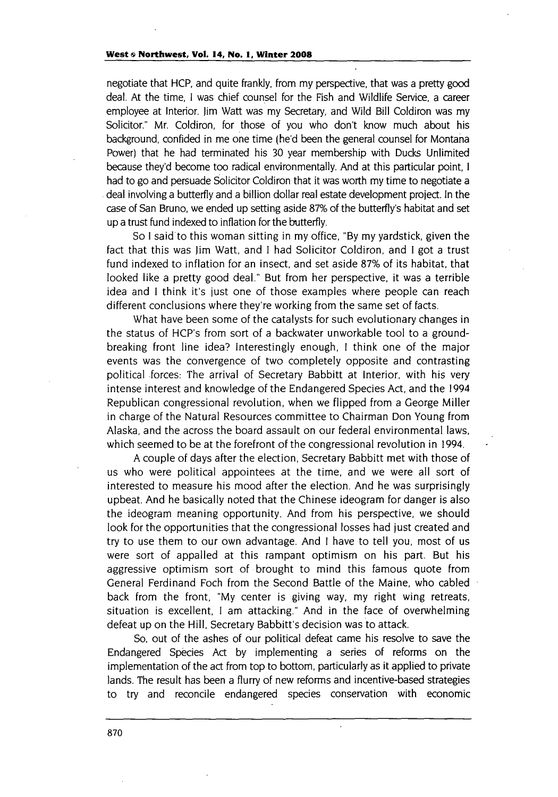negotiate that HCP, and quite frankly, from my perspective, that was a pretty good deal. At the time, I was chief counsel for the Fish and Wildlife Service, a career employee at Interior. Jim Watt was my Secretary, and Wild Bill Coldiron was my Solicitor." Mr. Coldiron, for those of you who don't know much about his background, confided in me one time (he'd been the general counsel for Montana Power) that he had terminated his **30** year membership with Ducks Unlimited because they'd become too radical environmentally. And at this particular point, I had to go and persuade Solicitor Coldiron that it was worth my time to negotiate a deal involving a butterfly and a billion dollar real estate development project. In the case of San Bruno, we ended up setting aside 87% of the butterfly's habitat and set up a trust fund indexed to inflation for the butterfly.

So I said to this woman sitting in my office, **"By** my yardstick, given the fact that this was Jim Watt, and I had Solicitor Coldiron, and I got a trust fund indexed to inflation for an insect, and set aside 87% of its habitat, that looked like a pretty good deal." But from her perspective, it was a terrible idea and **I** think it's just one of those examples where people can reach different conclusions where they're working from the same set of facts.

What have been some of the catalysts for such evolutionary changes in the status of HCP's from sort of a backwater unworkable tool to a groundbreaking front line idea? Interestingly enough, I think one of the major events was the convergence of two completely opposite and contrasting political forces: The arrival of Secretary Babbitt at Interior, with his very intense interest and knowledge of the Endangered Species Act, and the 1994 Republican congressional revolution, when we flipped from a George Miller in charge of the Natural Resources committee to Chairman Don Young from Alaska, and the across the board assault on our federal environmental laws, which seemed to be at the forefront of the congressional revolution in 1994.

A couple of days after the election, Secretary Babbitt met with those of us who were political appointees at the time, and we were all sort of interested to measure his mood after the election. And he was surprisingly upbeat. And he basically noted that the Chinese ideogram for danger is also the ideogram meaning opportunity. And from his perspective, we should look for the opportunities that the congressional losses had just created and try to use them to our own advantage. And I have to tell you, most of us were sort of appalled at this rampant optimism on his part. But his aggressive optimism sort of brought to mind this famous quote from General Ferdinand Foch from the Second Battle of the Maine, who cabled back from the front, "My center is giving way, my right wing retreats, situation is excellent, I am attacking." And in the face of overwhelming defeat up on the Hill, Secretary Babbitt's decision was to attack.

So, out of the ashes of our political defeat came his resolve to save the Endangered Species Act by implementing a series of reforms on the implementation of the act from top to bottom, particularly as it applied to private lands. The result has been a flurry of new reforms and incentive-based strategies to try and reconcile endangered species conservation with economic

 $\ddot{\phantom{a}}$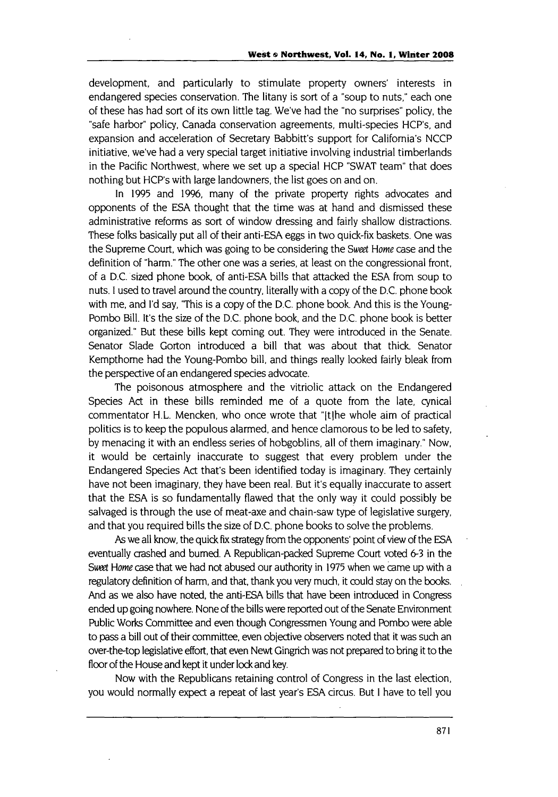development, and particularly to stimulate property owners' interests in endangered species conservation. The litany is sort of a "soup to nuts," each one of these has had sort of its own little tag. We've had the "no surprises" policy, the "safe harbor" policy, Canada conservation agreements, multi-species HCP's, and expansion and acceleration of Secretary Babbitt's support for California's NCCP initiative, we've had a very special target initiative involving industrial timberlands in the Pacific Northwest, where we set up a special HCP "SWAT team" that does nothing but HCP's with large landowners, the list goes on and on.

In 1995 and 1996, many of the private property rights advocates and opponents of the ESA thought that the time was at hand and dismissed these administrative reforms as sort of window dressing and fairly shallow distractions. These folks basically put all of their anti-ESA eggs in two quick-fix baskets. One was the Supreme Court, which was going to be considering the Sweet Home case and the definition of "harm." The other one was a series, at least on the congressional front, of a D.C. sized phone book, of anti-ESA bills that attacked the ESA from soup to nuts. I used to travel around the country, literally with a copy of the D.C. phone book with me, and **I'd** say, "This is a copy of the D.C. phone book. And this is the Young-Pombo Bill. it's the size of the D.C. phone book, and the D.C. phone book is better organized." But these bills kept coming out. They were introduced in the Senate. Senator Slade Gorton introduced a bill that was about that thick Senator Kempthome had the Young-Pombo bill, and things really looked fairly bleak from the perspective of an endangered species advocate.

The poisonous atmosphere and the vitriolic attack on the Endangered Species Act in these bills reminded me of a quote from the late, cynical commentator H.L. Mencken, who once wrote that "[tlhe whole aim of practical politics is to keep the populous alarmed, and hence clamorous to be led to safety, by menacing it with an endless series of hobgoblins, all of them imaginary." Now, it would be certainly inaccurate to suggest that every problem under the Endangered Species Act that's been identified today is imaginary. They certainly have not been imaginary, they have been real. But it's equally inaccurate to assert that the ESA is so fundamentally flawed that the only way it could possibly be salvaged is through the use of meat-axe and chain-saw type of legislative surgery, and that you required bills the size of D.C. phone books to solve the problems.

As we all know, the quick fix strategy from the opponents' point of view of the ESA eventually crashed and burned. A Republican-packed Supreme Court voted **6-3** in the Sweet Home case that we had not abused our authority in 1975 when we came up with a regulatory definition of harm, and that, thank you very much, it could stay on the books. And as we also have noted, the anti-ESA bills that have been introduced in Congress ended up going nowhere. None of the bills were reported out of the Senate Environment Public Works Committee and even though Congressmen Young and Pombo were able to pass a bill out of their committee, even objective observers noted that it was such an over-the-top legislative effort, that even Newt Gingrich was not prepared to bring it to the floor of the House and kept it under lock and key.

Now with the Republicans retaining control of Congress in the last election, you would normally expect a repeat of last year's ESA circus. But I have to tell you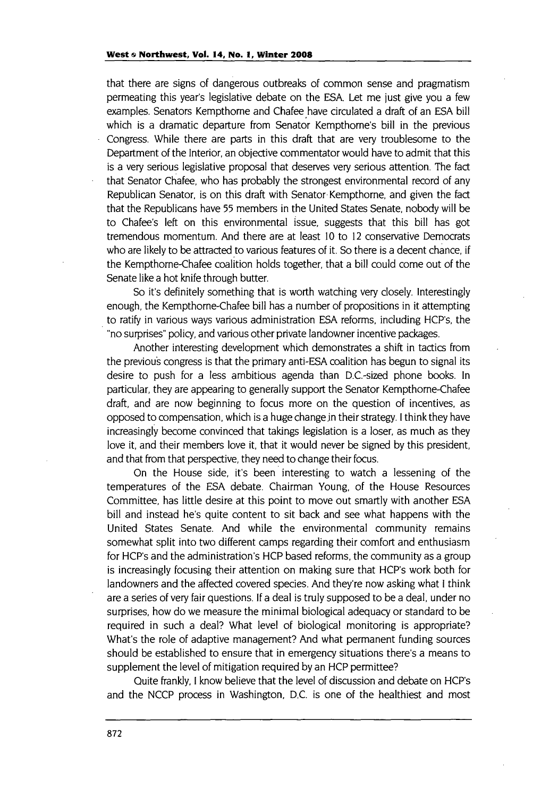that there are signs of dangerous outbreaks of common sense and pragmatism permeating this year's legislative debate on the ESA. Let me just give you a few examples. Senators Kempthome and Chafee have circulated a draft of an ESA bill which is a dramatic departure from Senator Kempthome's bill in the previous Congress. While there are parts in this draft that are very troublesome to the Department of the Interior, an objective commentator would have to admit that this is a very serious legislative proposal that deserves very serious attention. The fact that Senator Chafee, who has probably the strongest environmental record of any Republican Senator, is on this draft with Senator.Kempthome, and given the fact that the Republicans have 55 members in the United States Senate, nobody will be to Chafee's left on this environmental issue, suggests that this bill has got tremendous momentum. And there are at least **10** to 12 conservative Democrats who are likely to be attracted to various features of it. So there is a decent chance, if the Kempthome-Chafee coalition holds together, that a bill could come out of the Senate like a hot knife through butter.

So it's definitely something that is worth watching very closely. Interestingly enough, the Kempthome-Chafee bill has a number of propositions in it attempting to ratify in various ways various administration ESA reforms, including HCP's, the "no surprises" policy, and various other private landowner incentive packages.

Another interesting development which demonstrates a shift in tactics from the previous congress is that the primary anti-ESA coalition has begun to signal its desire to push for a less ambitious agenda than D.C.-sized phone books. In particular, they are appearing to generally support the Senator Kempthome-Chafee draft, and are now beginning to focus more on the question of incentives, as opposed to compensation, which is a huge change jn their strategy. I think they have increasingly become convinced that takings legislation is a loser, as much as they love it, and their members love it, that it would never be signed by this president, and that from that perspective, they need to change their focus.

On the House side, it's been interesting to watch a lessening of the temperatures of the ESA debate. Chairman Young, of the House Resources Committee, has little desire at this point to move out smartly with another ESA bill and instead he's quite content to sit back and see what happens with the United States Senate. And while the environmental community remains somewhat split into two different camps regarding their comfort and enthusiasm for HCP's and the administration's HCP based reforms, the community as a group is increasingly focusing their attention on making sure that HCP's work both for landowners and the affected covered species. And they're now asking what I think are a series of very fair questions. If a deal is truly supposed to be a deal, under no surprises, how do we measure the minimal biological adequacy or standard to be required in such a deal? What level of biological monitoring is appropriate? What's the role of adaptive management? And what permanent funding sources should be established to ensure that in emergency situations there's a means to supplement the level of mitigation required by an HCP permittee?

Quite frankly, I know believe that the level of discussion and debate on HCP's and the NCCP process in Washington, D.C. is one of the healthiest and most